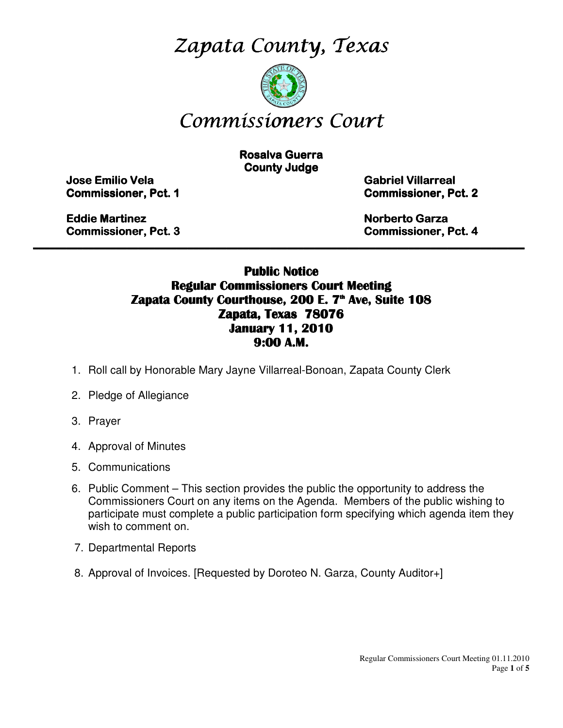Zapata County, Texas



# Commissioners Court

**Rosalva Guerra County Judge** 

Jose Emilio Vela Emilio Vela Vela Gabriel Villarreal Villarreal Villarreal

**Commissioner, Pct. 1 Commissioner, Pct. 2** 

Eddie Martinez **Eddie Martinez** Norberto Garza Garza Garza Garza Garza Garza Garza Garza Garza Garza Garza Garza Garza Garza Garza Garza Garza Garza Garza Garza Garza Garza Garza Garza Garza Garza Garza Garza Garza Garza G

Commissioner, Pct. 3 3 Commissioner, Pct. 4

### Public Notice Regular Commissioners Court Meeting Zapata County Courthouse, 200 E. 7<sup>th</sup> Ave, Suite 108 Zapata, Texas 78076 January 11, 2010 9:00 A.M.

\_\_\_\_\_\_\_\_\_\_\_\_\_\_\_\_\_\_\_\_\_\_\_\_\_\_\_\_\_\_\_\_\_\_\_\_\_\_\_\_\_\_\_\_\_\_\_\_\_\_\_\_\_\_\_\_\_\_\_\_\_\_\_\_\_\_\_\_\_\_\_\_\_\_\_\_\_\_\_\_\_\_\_\_\_\_\_\_\_

- 1. Roll call by Honorable Mary Jayne Villarreal-Bonoan, Zapata County Clerk
- 2. Pledge of Allegiance
- 3. Prayer
- 4. Approval of Minutes
- 5. Communications
- 6. Public Comment This section provides the public the opportunity to address the Commissioners Court on any items on the Agenda. Members of the public wishing to participate must complete a public participation form specifying which agenda item they wish to comment on.
- 7. Departmental Reports
- 8. Approval of Invoices. [Requested by Doroteo N. Garza, County Auditor+]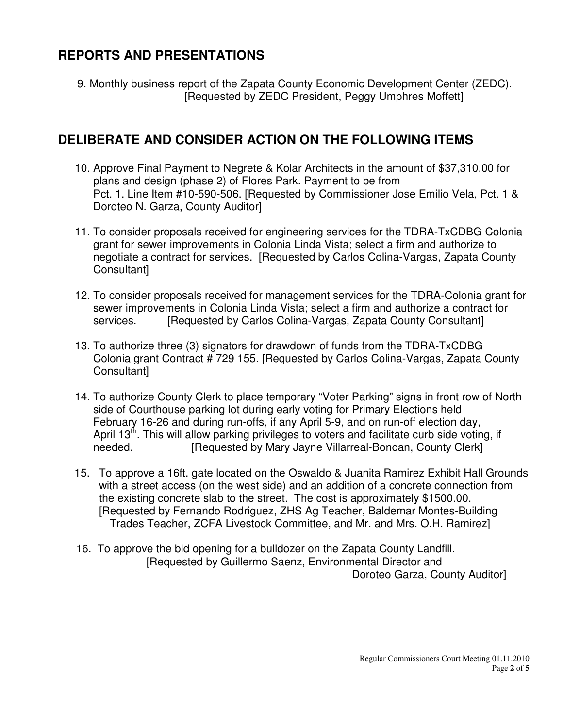### **REPORTS AND PRESENTATIONS**

9. Monthly business report of the Zapata County Economic Development Center (ZEDC). [Requested by ZEDC President, Peggy Umphres Moffett]

# **DELIBERATE AND CONSIDER ACTION ON THE FOLLOWING ITEMS**

- 10. Approve Final Payment to Negrete & Kolar Architects in the amount of \$37,310.00 for plans and design (phase 2) of Flores Park. Payment to be from Pct. 1. Line Item #10-590-506. [Requested by Commissioner Jose Emilio Vela, Pct. 1 & Doroteo N. Garza, County Auditor]
- 11. To consider proposals received for engineering services for the TDRA-TxCDBG Colonia grant for sewer improvements in Colonia Linda Vista; select a firm and authorize to negotiate a contract for services. [Requested by Carlos Colina-Vargas, Zapata County Consultant]
- 12. To consider proposals received for management services for the TDRA-Colonia grant for sewer improvements in Colonia Linda Vista; select a firm and authorize a contract for services. [Requested by Carlos Colina-Vargas, Zapata County Consultant]
- 13. To authorize three (3) signators for drawdown of funds from the TDRA-TxCDBG Colonia grant Contract # 729 155. [Requested by Carlos Colina-Vargas, Zapata County Consultant]
- 14. To authorize County Clerk to place temporary "Voter Parking" signs in front row of North side of Courthouse parking lot during early voting for Primary Elections held February 16-26 and during run-offs, if any April 5-9, and on run-off election day, April 13<sup>th</sup>. This will allow parking privileges to voters and facilitate curb side voting, if needed. **[Requested by Mary Jayne Villarreal-Bonoan, County Clerk]**
- 15. To approve a 16ft. gate located on the Oswaldo & Juanita Ramirez Exhibit Hall Grounds with a street access (on the west side) and an addition of a concrete connection from the existing concrete slab to the street. The cost is approximately \$1500.00. [Requested by Fernando Rodriguez, ZHS Ag Teacher, Baldemar Montes-Building Trades Teacher, ZCFA Livestock Committee, and Mr. and Mrs. O.H. Ramirez]
- 16. To approve the bid opening for a bulldozer on the Zapata County Landfill. [Requested by Guillermo Saenz, Environmental Director and Doroteo Garza, County Auditor]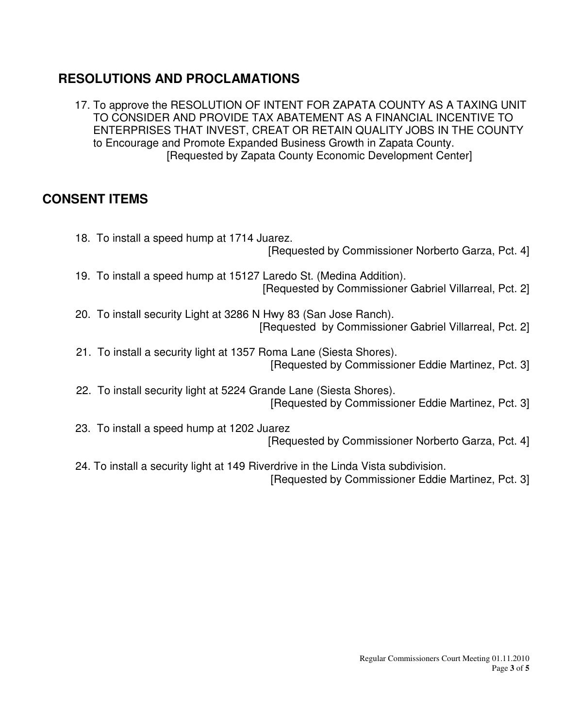# **RESOLUTIONS AND PROCLAMATIONS**

 17. To approve the RESOLUTION OF INTENT FOR ZAPATA COUNTY AS A TAXING UNIT TO CONSIDER AND PROVIDE TAX ABATEMENT AS A FINANCIAL INCENTIVE TO ENTERPRISES THAT INVEST, CREAT OR RETAIN QUALITY JOBS IN THE COUNTY to Encourage and Promote Expanded Business Growth in Zapata County. [Requested by Zapata County Economic Development Center]

### **CONSENT ITEMS**

 18. To install a speed hump at 1714 Juarez. [Requested by Commissioner Norberto Garza, Pct. 4] 19. To install a speed hump at 15127 Laredo St. (Medina Addition). [Requested by Commissioner Gabriel Villarreal, Pct. 2] 20. To install security Light at 3286 N Hwy 83 (San Jose Ranch). [Requested by Commissioner Gabriel Villarreal, Pct. 2] 21. To install a security light at 1357 Roma Lane (Siesta Shores). [Requested by Commissioner Eddie Martinez, Pct. 3] 22. To install security light at 5224 Grande Lane (Siesta Shores). [Requested by Commissioner Eddie Martinez, Pct. 3] 23. To install a speed hump at 1202 Juarez [Requested by Commissioner Norberto Garza, Pct. 4] 24. To install a security light at 149 Riverdrive in the Linda Vista subdivision. [Requested by Commissioner Eddie Martinez, Pct. 3]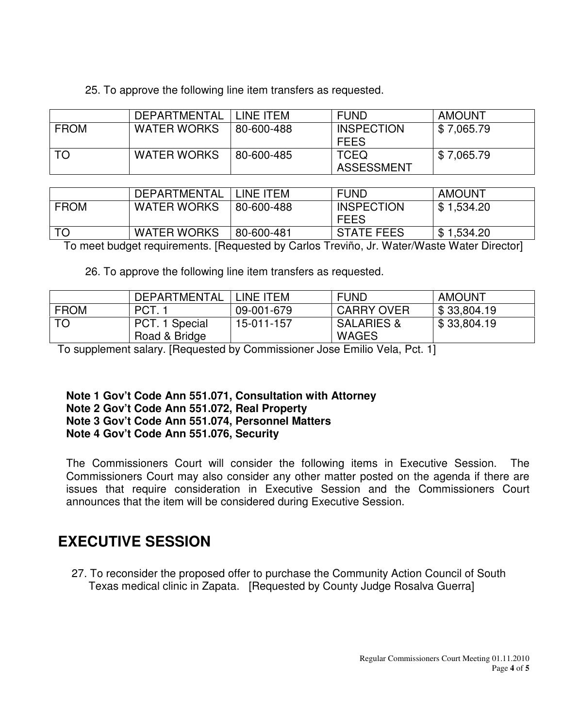25. To approve the following line item transfers as requested.

|             | DEPARTMENTAL       | LINE ITEM  | <b>FUND</b>                      | AMOUNT     |
|-------------|--------------------|------------|----------------------------------|------------|
| <b>FROM</b> | <b>WATER WORKS</b> | 80-600-488 | <b>INSPECTION</b><br><b>FEES</b> | \$7,065.79 |
| TO          | <b>WATER WORKS</b> | 80-600-485 | <b>TCEQ</b><br>ASSESSMENT        | \$7,065.79 |

|             | <b>DEPARTMENTAL</b> | LINE ITEM  | <b>FUND</b>       | <b>AMOUNT</b> |
|-------------|---------------------|------------|-------------------|---------------|
| <b>FROM</b> | <b>WATER WORKS</b>  | 80-600-488 | <b>INSPECTION</b> | \$1,534.20    |
|             |                     |            | <b>FEES</b>       |               |
| TO          | <b>WATER WORKS</b>  | 80-600-481 | <b>STATE FEES</b> | \$1,534.20    |

To meet budget requirements. [Requested by Carlos Treviño, Jr. Water/Waste Water Director]

26. To approve the following line item transfers as requested.

|             | DEPARTMENTAL   | LINE ITEM  | <b>FUND</b>           | AMOUNT      |
|-------------|----------------|------------|-----------------------|-------------|
| <b>FROM</b> | PCT.1          | 09-001-679 | <b>CARRY OVER</b>     | \$33,804.19 |
| <b>TO</b>   | PCT. 1 Special | 15-011-157 | <b>SALARIES &amp;</b> | \$33,804.19 |
|             | Road & Bridge  |            | <b>WAGES</b>          |             |

To supplement salary. [Requested by Commissioner Jose Emilio Vela, Pct. 1]

#### **Note 1 Gov't Code Ann 551.071, Consultation with Attorney Note 2 Gov't Code Ann 551.072, Real Property Note 3 Gov't Code Ann 551.074, Personnel Matters Note 4 Gov't Code Ann 551.076, Security**

The Commissioners Court will consider the following items in Executive Session. The Commissioners Court may also consider any other matter posted on the agenda if there are issues that require consideration in Executive Session and the Commissioners Court announces that the item will be considered during Executive Session.

# **EXECUTIVE SESSION**

 27. To reconsider the proposed offer to purchase the Community Action Council of South Texas medical clinic in Zapata. [Requested by County Judge Rosalva Guerra]